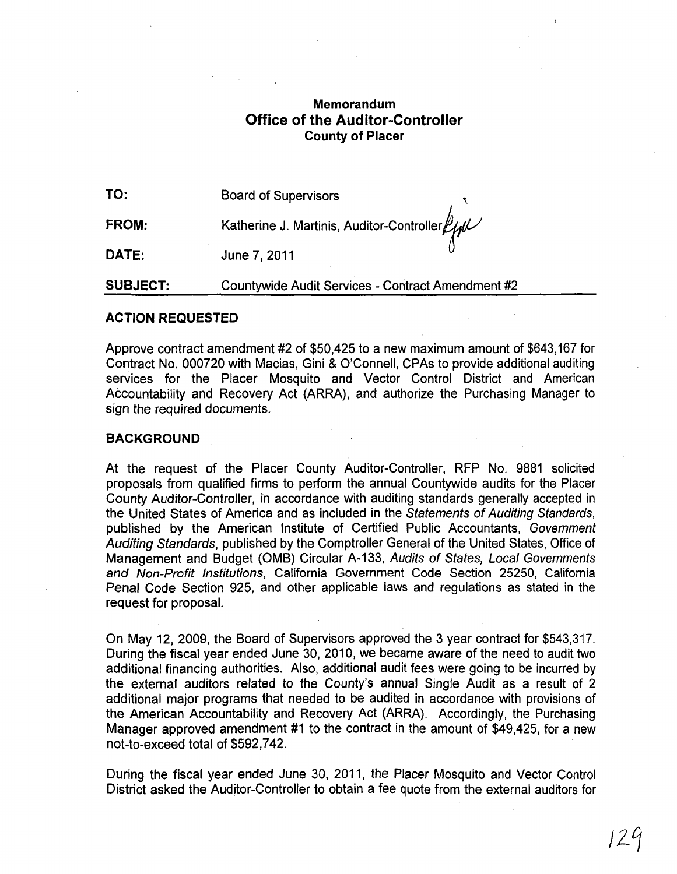## **Memorandum Office of the Auditor-Controller County of Placer**

| TO:             | <b>Board of Supervisors</b>                                           |
|-----------------|-----------------------------------------------------------------------|
| FROM:           | Katherine J. Martinis, Auditor-Controller $\mathcal{L}_{\mathcal{W}}$ |
| DATE:           | June 7, 2011                                                          |
| <b>SUBJECT:</b> | Countywide Audit Services - Contract Amendment #2                     |

## **ACTION REQUESTED**

Approve contract amendment #2 of \$50,425 to a new maximum amount of \$643,167 for Contract No. 000720 with Macias, Gini & O'Connell, CPAs to provide additional auditing services for the Placer Mosquito and Vector Control District and American Accountability and Recovery Act (ARRA), and authorize the Purchasing Manager to sign the required documents.

## **BACKGROUND**

At the request of the Placer County Auditor-Controller, RFP No. 9881 solicited proposals from qualified firms to perform the annual Countywide audits for the Placer County Auditor-Controller, in accordance with auditing standards generally accepted in the United States of America and as included in the Statements of Auditing Standards, published by the American Institute of Certified Public Accountants, Government Auditing Standards, published by the Comptroller General of the United States, Office of Management and Budget (OMB) Circular A-133, Audits of States, Local Governments and Non-Profit Institutions, California Government Code Section 25250, California Penal Code Section 925, and other applicable laws and regulations as stated in the request for proposal.

On May 12, 2009, the Board of Supervisors approved the 3 year contract for \$543,317. During the fiscal year ended June 30, 2010, we became aware of the need to audit two additional financing authorities. Also, additional audit fees were going to be incurred by the external auditors related to the County's annual Single Audit as a result of 2 additional major programs that needed to be audited in accordance with provisions of the American Accountability and Recovery Act (ARRA). Accordingly, the Purchasing Manager approved amendment #1 to the contract in the amount of \$49,425, for a new not-to-exceed total of \$592,742.

During the fiscal year ended June 30, 2011, the Placer Mosquito and Vector Control District asked the Auditor-Controller to obtain a fee quote from the external auditors for